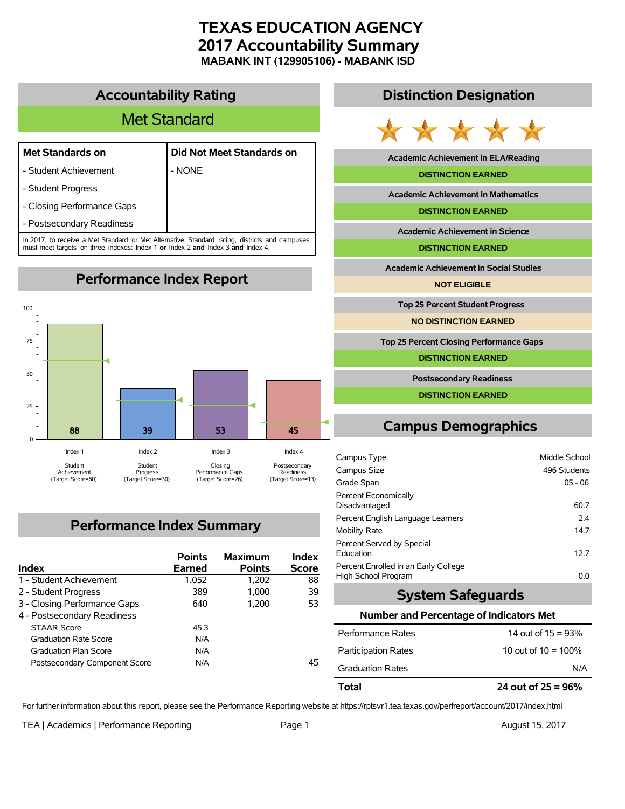# **TEXAS EDUCATION AGENCY 2017 Accountability Summary MABANK INT (129905106) - MABANK ISD**

# **Accountability Rating**

# Met Standard

- Student Achievement  $\blacksquare$  - NONE

| Met Standards on | Did Not Meet Standards on |  |  |  |
|------------------|---------------------------|--|--|--|
|                  |                           |  |  |  |

- 
- Student Progress
- Closing Performance Gaps
- Postsecondary Readiness

In 2017, to receive a Met Standard or Met Alternative Standard rating, districts and campuses must meet targets on three indexes: Index 1 **or** Index 2 **and** Index 3 **and** Index 4.

**Performance Index Report**



# **Performance Index Summary**

| Index                         | <b>Points</b><br>Earned | <b>Maximum</b><br><b>Points</b> | <b>Index</b><br><b>Score</b> |
|-------------------------------|-------------------------|---------------------------------|------------------------------|
| 1 - Student Achievement       | 1,052                   | 1.202                           | 88                           |
| 2 - Student Progress          | 389                     | 1.000                           | 39                           |
| 3 - Closing Performance Gaps  | 640                     | 1.200                           | 53                           |
| 4 - Postsecondary Readiness   |                         |                                 |                              |
| <b>STAAR Score</b>            | 45.3                    |                                 |                              |
| <b>Graduation Rate Score</b>  | N/A                     |                                 |                              |
| <b>Graduation Plan Score</b>  | N/A                     |                                 |                              |
| Postsecondary Component Score | N/A                     |                                 | 45                           |

# **Distinction Designation**



**Academic Achievement in ELA/Reading**

#### **DISTINCTION EARNED**

**Academic Achievement in Mathematics**

**DISTINCTION EARNED**

**Academic Achievement in Science**

**DISTINCTION EARNED**

**Academic Achievement in Social Studies**

**NOT ELIGIBLE**

**Top 25 Percent Student Progress**

**NO DISTINCTION EARNED**

**Top 25 Percent Closing Performance Gaps**

**DISTINCTION EARNED**

**Postsecondary Readiness**

**DISTINCTION EARNED**

# **Campus Demographics**

| Campus Type                                                 | Middle School |
|-------------------------------------------------------------|---------------|
| Campus Size                                                 | 496 Students  |
| Grade Span                                                  | $05 - 06$     |
| Percent Economically<br>Disadvantaged                       | 60.7          |
| Percent English Language Learners                           | 2.4           |
| <b>Mobility Rate</b>                                        | 14.7          |
| Percent Served by Special<br>Education                      | 12.7          |
| Percent Enrolled in an Early College<br>High School Program | 0.0           |

# **System Safeguards**

#### **Number and Percentage of Indicators Met**

| Total                      | 24 out of $25 = 96\%$  |
|----------------------------|------------------------|
| <b>Graduation Rates</b>    | N/A                    |
| <b>Participation Rates</b> | 10 out of $10 = 100\%$ |
| Performance Rates          | 14 out of $15 = 93\%$  |

For further information about this report, please see the Performance Reporting website at https://rptsvr1.tea.texas.gov/perfreport/account/2017/index.html

TEA | Academics | Performance Reporting Page 1 August 15, 2017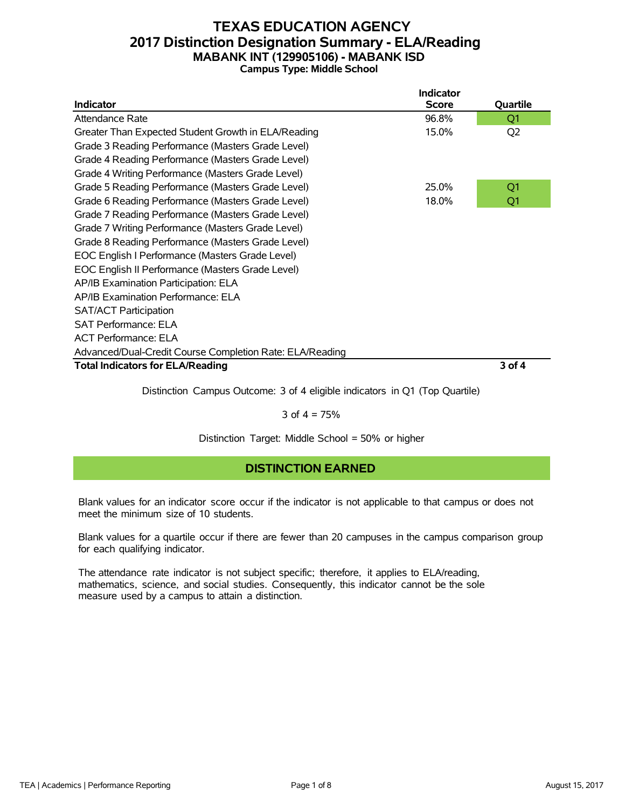# **TEXAS EDUCATION AGENCY 2017 Distinction Designation Summary - ELA/Reading MABANK INT (129905106) - MABANK ISD Campus Type: Middle School**

|                                                          | <b>Indicator</b> |                |
|----------------------------------------------------------|------------------|----------------|
| <b>Indicator</b>                                         | <b>Score</b>     | Quartile       |
| Attendance Rate                                          | 96.8%            | Q1             |
| Greater Than Expected Student Growth in ELA/Reading      | 15.0%            | Q <sub>2</sub> |
| Grade 3 Reading Performance (Masters Grade Level)        |                  |                |
| Grade 4 Reading Performance (Masters Grade Level)        |                  |                |
| Grade 4 Writing Performance (Masters Grade Level)        |                  |                |
| Grade 5 Reading Performance (Masters Grade Level)        | 25.0%            | Q1             |
| Grade 6 Reading Performance (Masters Grade Level)        | 18.0%            | Q1             |
| Grade 7 Reading Performance (Masters Grade Level)        |                  |                |
| Grade 7 Writing Performance (Masters Grade Level)        |                  |                |
| Grade 8 Reading Performance (Masters Grade Level)        |                  |                |
| EOC English I Performance (Masters Grade Level)          |                  |                |
| EOC English II Performance (Masters Grade Level)         |                  |                |
| AP/IB Examination Participation: ELA                     |                  |                |
| AP/IB Examination Performance: ELA                       |                  |                |
| <b>SAT/ACT Participation</b>                             |                  |                |
| <b>SAT Performance: ELA</b>                              |                  |                |
| <b>ACT Performance: ELA</b>                              |                  |                |
| Advanced/Dual-Credit Course Completion Rate: ELA/Reading |                  |                |
| <b>Total Indicators for ELA/Reading</b>                  |                  | 3 of 4         |
|                                                          |                  |                |

Distinction Campus Outcome: 3 of 4 eligible indicators in Q1 (Top Quartile)

#### 3 of  $4 = 75%$

Distinction Target: Middle School = 50% or higher

# **DISTINCTION EARNED**

Blank values for an indicator score occur if the indicator is not applicable to that campus or does not meet the minimum size of 10 students.

Blank values for a quartile occur if there are fewer than 20 campuses in the campus comparison group for each qualifying indicator.

The attendance rate indicator is not subject specific; therefore, it applies to ELA/reading, mathematics, science, and social studies. Consequently, this indicator cannot be the sole measure used by a campus to attain a distinction.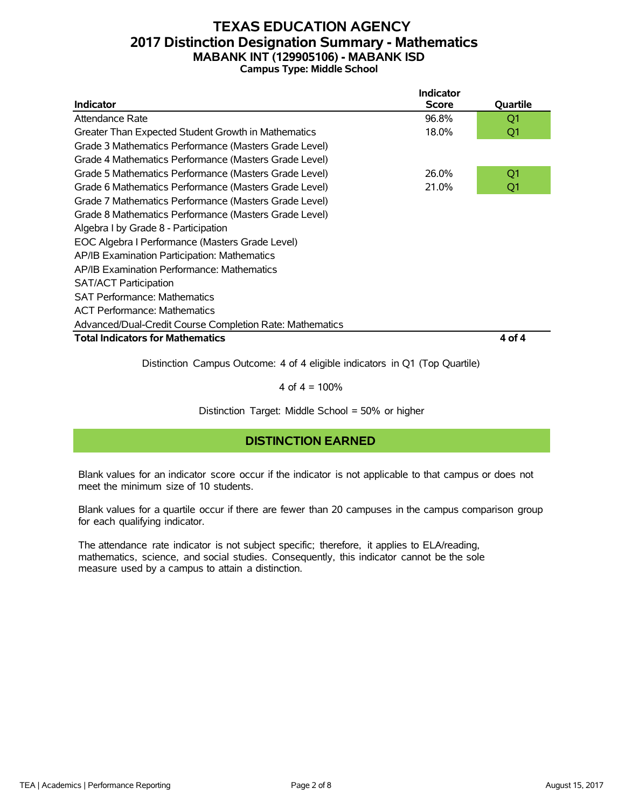# **TEXAS EDUCATION AGENCY 2017 Distinction Designation Summary - Mathematics MABANK INT (129905106) - MABANK ISD Campus Type: Middle School**

|                                                          | <b>Indicator</b> |                |
|----------------------------------------------------------|------------------|----------------|
| <b>Indicator</b>                                         | <b>Score</b>     | Quartile       |
| Attendance Rate                                          | 96.8%            | Q1             |
| Greater Than Expected Student Growth in Mathematics      | 18.0%            | Q1             |
| Grade 3 Mathematics Performance (Masters Grade Level)    |                  |                |
| Grade 4 Mathematics Performance (Masters Grade Level)    |                  |                |
| Grade 5 Mathematics Performance (Masters Grade Level)    | 26.0%            | Q <sub>1</sub> |
| Grade 6 Mathematics Performance (Masters Grade Level)    | 21.0%            | Q1             |
| Grade 7 Mathematics Performance (Masters Grade Level)    |                  |                |
| Grade 8 Mathematics Performance (Masters Grade Level)    |                  |                |
| Algebra I by Grade 8 - Participation                     |                  |                |
| EOC Algebra I Performance (Masters Grade Level)          |                  |                |
| AP/IB Examination Participation: Mathematics             |                  |                |
| AP/IB Examination Performance: Mathematics               |                  |                |
| <b>SAT/ACT Participation</b>                             |                  |                |
| <b>SAT Performance: Mathematics</b>                      |                  |                |
| <b>ACT Performance: Mathematics</b>                      |                  |                |
| Advanced/Dual-Credit Course Completion Rate: Mathematics |                  |                |
| <b>Total Indicators for Mathematics</b>                  |                  | 4 of 4         |

Distinction Campus Outcome: 4 of 4 eligible indicators in Q1 (Top Quartile)

4 of  $4 = 100%$ 

Distinction Target: Middle School = 50% or higher

# **DISTINCTION EARNED**

Blank values for an indicator score occur if the indicator is not applicable to that campus or does not meet the minimum size of 10 students.

Blank values for a quartile occur if there are fewer than 20 campuses in the campus comparison group for each qualifying indicator.

The attendance rate indicator is not subject specific; therefore, it applies to ELA/reading, mathematics, science, and social studies. Consequently, this indicator cannot be the sole measure used by a campus to attain a distinction.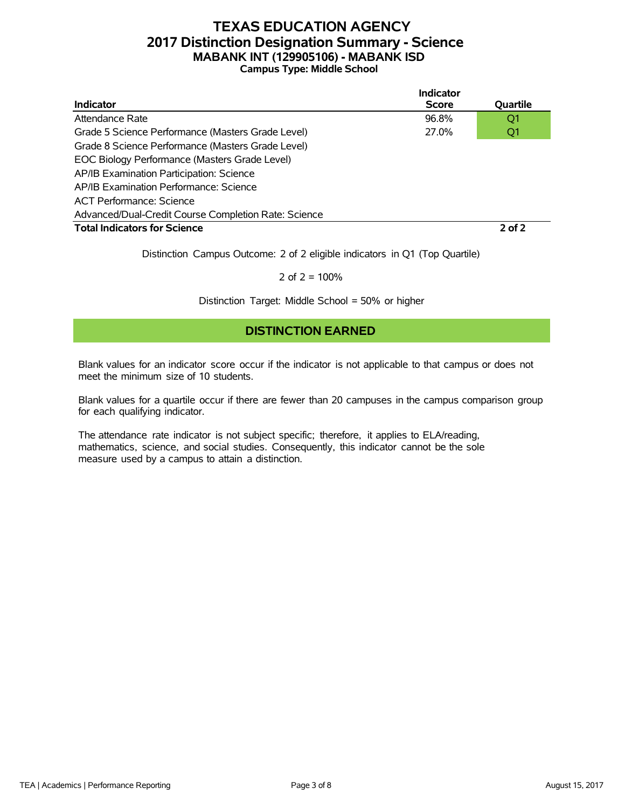# **TEXAS EDUCATION AGENCY 2017 Distinction Designation Summary - Science MABANK INT (129905106) - MABANK ISD Campus Type: Middle School**

|                                                      | Indicator    |            |
|------------------------------------------------------|--------------|------------|
| <b>Indicator</b>                                     | <b>Score</b> | Quartile   |
| Attendance Rate                                      | 96.8%        | Q1         |
| Grade 5 Science Performance (Masters Grade Level)    | 27.0%        | Q1         |
| Grade 8 Science Performance (Masters Grade Level)    |              |            |
| EOC Biology Performance (Masters Grade Level)        |              |            |
| AP/IB Examination Participation: Science             |              |            |
| AP/IB Examination Performance: Science               |              |            |
| ACT Performance: Science                             |              |            |
| Advanced/Dual-Credit Course Completion Rate: Science |              |            |
| <b>Total Indicators for Science</b>                  |              | $2$ of $2$ |

Distinction Campus Outcome: 2 of 2 eligible indicators in Q1 (Top Quartile)

2 of  $2 = 100%$ 

Distinction Target: Middle School = 50% or higher

# **DISTINCTION EARNED**

Blank values for an indicator score occur if the indicator is not applicable to that campus or does not meet the minimum size of 10 students.

Blank values for a quartile occur if there are fewer than 20 campuses in the campus comparison group for each qualifying indicator.

The attendance rate indicator is not subject specific; therefore, it applies to ELA/reading, mathematics, science, and social studies. Consequently, this indicator cannot be the sole measure used by a campus to attain a distinction.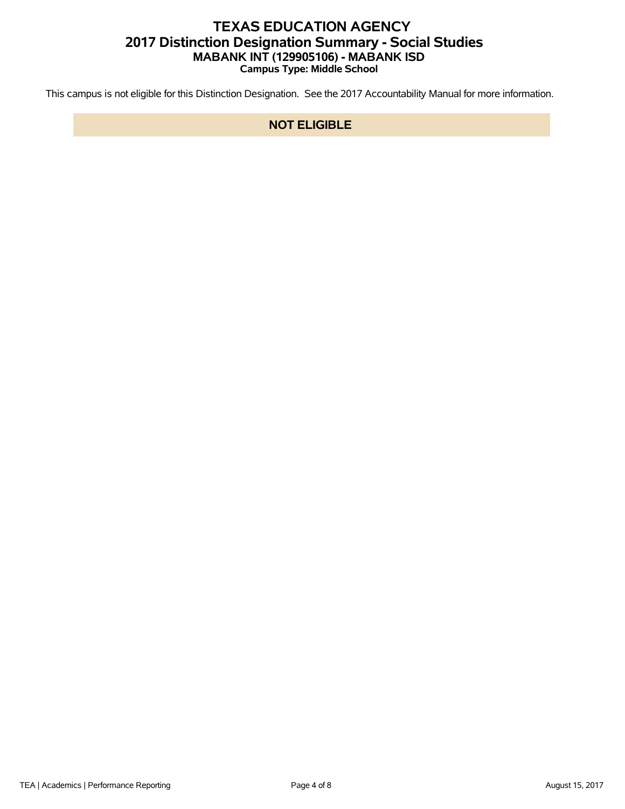# **TEXAS EDUCATION AGENCY 2017 Distinction Designation Summary - Social Studies MABANK INT (129905106) - MABANK ISD Campus Type: Middle School**

This campus is not eligible for this Distinction Designation. See the 2017 Accountability Manual for more information.

### **NOT ELIGIBLE**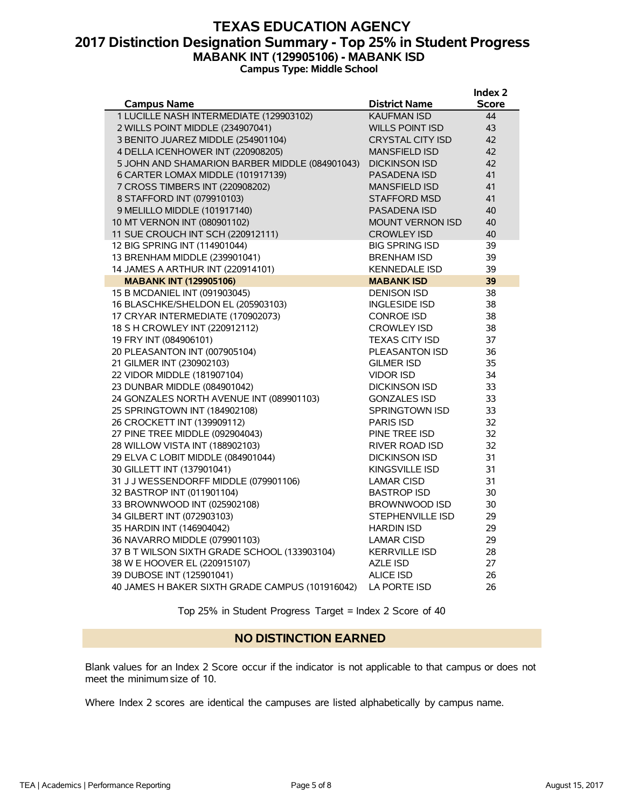# **TEXAS EDUCATION AGENCY 2017 Distinction Designation Summary - Top 25% in Student Progress MABANK INT (129905106) - MABANK ISD Campus Type: Middle School**

|                                                 |                         | Index <sub>2</sub> |
|-------------------------------------------------|-------------------------|--------------------|
| <b>Campus Name</b>                              | <b>District Name</b>    | Score              |
| 1 LUCILLE NASH INTERMEDIATE (129903102)         | <b>KAUFMAN ISD</b>      | 44                 |
| 2 WILLS POINT MIDDLE (234907041)                | <b>WILLS POINT ISD</b>  | 43                 |
| 3 BENITO JUAREZ MIDDLE (254901104)              | <b>CRYSTAL CITY ISD</b> | 42                 |
| 4 DELLA ICENHOWER INT (220908205)               | <b>MANSFIELD ISD</b>    | 42                 |
| 5 JOHN AND SHAMARION BARBER MIDDLE (084901043)  | <b>DICKINSON ISD</b>    | 42                 |
| 6 CARTER LOMAX MIDDLE (101917139)               | PASADENA ISD            | 41                 |
| 7 CROSS TIMBERS INT (220908202)                 | <b>MANSFIELD ISD</b>    | 41                 |
| 8 STAFFORD INT (079910103)                      | <b>STAFFORD MSD</b>     | 41                 |
| 9 MELILLO MIDDLE (101917140)                    | <b>PASADENA ISD</b>     | 40                 |
| 10 MT VERNON INT (080901102)                    | <b>MOUNT VERNON ISD</b> | 40                 |
| 11 SUE CROUCH INT SCH (220912111)               | <b>CROWLEY ISD</b>      | 40                 |
| 12 BIG SPRING INT (114901044)                   | <b>BIG SPRING ISD</b>   | 39                 |
| 13 BRENHAM MIDDLE (239901041)                   | <b>BRENHAM ISD</b>      | 39                 |
| 14 JAMES A ARTHUR INT (220914101)               | <b>KENNEDALE ISD</b>    | 39                 |
| <b>MABANK INT (129905106)</b>                   | <b>MABANK ISD</b>       | 39                 |
| 15 B MCDANIEL INT (091903045)                   | <b>DENISON ISD</b>      | 38                 |
| 16 BLASCHKE/SHELDON EL (205903103)              | <b>INGLESIDE ISD</b>    | 38                 |
| 17 CRYAR INTERMEDIATE (170902073)               | <b>CONROE ISD</b>       | 38                 |
| 18 S H CROWLEY INT (220912112)                  | <b>CROWLEY ISD</b>      | 38                 |
| 19 FRY INT (084906101)                          | <b>TEXAS CITY ISD</b>   | 37                 |
| 20 PLEASANTON INT (007905104)                   | PLEASANTON ISD          | 36                 |
| 21 GILMER INT (230902103)                       | GILMER ISD              | 35                 |
| 22 VIDOR MIDDLE (181907104)                     | <b>VIDOR ISD</b>        | 34                 |
| 23 DUNBAR MIDDLE (084901042)                    | <b>DICKINSON ISD</b>    | 33                 |
| 24 GONZALES NORTH AVENUE INT (089901103)        | <b>GONZALES ISD</b>     | 33                 |
| 25 SPRINGTOWN INT (184902108)                   | <b>SPRINGTOWN ISD</b>   | 33                 |
| 26 CROCKETT INT (139909112)                     | <b>PARIS ISD</b>        | 32                 |
| 27 PINE TREE MIDDLE (092904043)                 | PINE TREE ISD           | 32                 |
| 28 WILLOW VISTA INT (188902103)                 | RIVER ROAD ISD          | 32                 |
| 29 ELVA C LOBIT MIDDLE (084901044)              | <b>DICKINSON ISD</b>    | 31                 |
| 30 GILLETT INT (137901041)                      | <b>KINGSVILLE ISD</b>   | 31                 |
| 31 J J WESSENDORFF MIDDLE (079901106)           | <b>LAMAR CISD</b>       | 31                 |
| 32 BASTROP INT (011901104)                      | <b>BASTROP ISD</b>      | 30                 |
| 33 BROWNWOOD INT (025902108)                    | BROWNWOOD ISD           | 30                 |
| 34 GILBERT INT (072903103)                      | STEPHENVILLE ISD        | 29                 |
| 35 HARDIN INT (146904042)                       | <b>HARDIN ISD</b>       | 29                 |
| 36 NAVARRO MIDDLE (079901103)                   | <b>LAMAR CISD</b>       | 29                 |
| 37 B T WILSON SIXTH GRADE SCHOOL (133903104)    | <b>KERRVILLE ISD</b>    | 28                 |
| 38 W E HOOVER EL (220915107)                    | <b>AZLE ISD</b>         | 27                 |
| 39 DUBOSE INT (125901041)                       | <b>ALICE ISD</b>        | 26                 |
| 40 JAMES H BAKER SIXTH GRADE CAMPUS (101916042) | LA PORTE ISD            | 26                 |

Top 25% in Student Progress Target = Index 2 Score of 40

#### **NO DISTINCTION EARNED**

Blank values for an Index 2 Score occur if the indicator is not applicable to that campus or does not meet the minimum size of 10.

Where Index 2 scores are identical the campuses are listed alphabetically by campus name.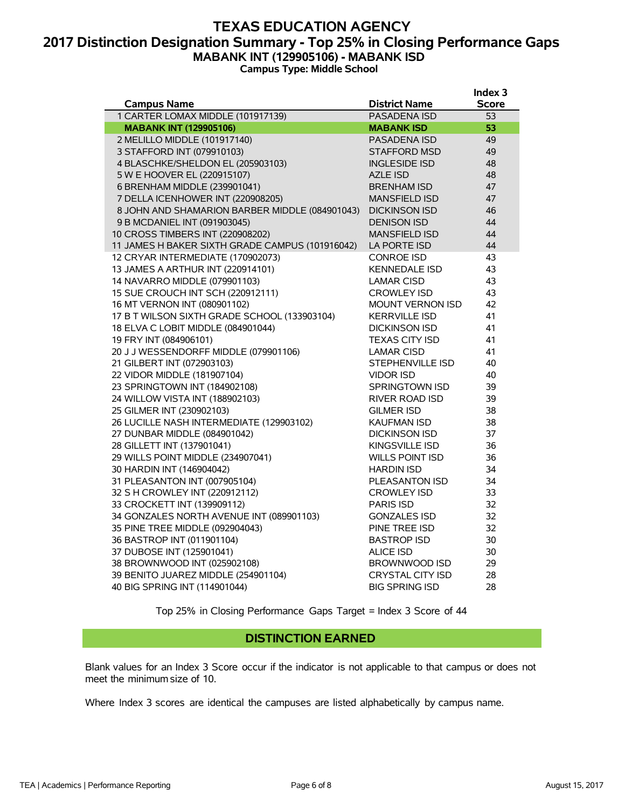## **TEXAS EDUCATION AGENCY 2017 Distinction Designation Summary - Top 25% in Closing Performance Gaps MABANK INT (129905106) - MABANK ISD Campus Type: Middle School**

|                                                                             |                                        | Index 3      |
|-----------------------------------------------------------------------------|----------------------------------------|--------------|
| <b>Campus Name</b>                                                          | <b>District Name</b>                   | <b>Score</b> |
| 1 CARTER LOMAX MIDDLE (101917139)                                           | PASADENA ISD                           | 53           |
| <b>MABANK INT (129905106)</b>                                               | <b>MABANK ISD</b>                      | 53           |
| 2 MELILLO MIDDLE (101917140)                                                | <b>PASADENA ISD</b>                    | 49           |
| 3 STAFFORD INT (079910103)                                                  | <b>STAFFORD MSD</b>                    | 49           |
| 4 BLASCHKE/SHELDON EL (205903103)                                           | <b>INGLESIDE ISD</b>                   | 48           |
| 5 W E HOOVER EL (220915107)                                                 | <b>AZLE ISD</b>                        | 48           |
| 6 BRENHAM MIDDLE (239901041)                                                | <b>BRENHAM ISD</b>                     | 47           |
| 7 DELLA ICENHOWER INT (220908205)                                           | <b>MANSFIELD ISD</b>                   | 47           |
| 8 JOHN AND SHAMARION BARBER MIDDLE (084901043)                              | <b>DICKINSON ISD</b>                   | 46           |
| 9 B MCDANIEL INT (091903045)                                                | <b>DENISON ISD</b>                     | 44           |
| 10 CROSS TIMBERS INT (220908202)                                            | <b>MANSFIELD ISD</b>                   | 44           |
| 11 JAMES H BAKER SIXTH GRADE CAMPUS (101916042)                             | LA PORTE ISD                           | 44           |
| 12 CRYAR INTERMEDIATE (170902073)                                           | <b>CONROE ISD</b>                      | 43           |
| 13 JAMES A ARTHUR INT (220914101)                                           | <b>KENNEDALE ISD</b>                   | 43           |
| 14 NAVARRO MIDDLE (079901103)                                               | <b>LAMAR CISD</b>                      | 43           |
| 15 SUE CROUCH INT SCH (220912111)                                           | <b>CROWLEY ISD</b>                     | 43           |
| 16 MT VERNON INT (080901102)                                                | <b>MOUNT VERNON ISD</b>                | 42           |
| 17 B T WILSON SIXTH GRADE SCHOOL (133903104)                                | <b>KERRVILLE ISD</b>                   | 41           |
| 18 ELVA C LOBIT MIDDLE (084901044)                                          | <b>DICKINSON ISD</b>                   | 41           |
| 19 FRY INT (084906101)                                                      | <b>TEXAS CITY ISD</b>                  | 41           |
| 20 J J WESSENDORFF MIDDLE (079901106)                                       | <b>LAMAR CISD</b>                      | 41           |
| 21 GILBERT INT (072903103)                                                  | <b>STEPHENVILLE ISD</b>                | 40           |
| 22 VIDOR MIDDLE (181907104)                                                 | <b>VIDOR ISD</b>                       | 40           |
| 23 SPRINGTOWN INT (184902108)                                               | SPRINGTOWN ISD                         | 39           |
| 24 WILLOW VISTA INT (188902103)                                             | RIVER ROAD ISD                         | 39           |
| 25 GILMER INT (230902103)                                                   | <b>GILMER ISD</b>                      | 38           |
| 26 LUCILLE NASH INTERMEDIATE (129903102)                                    | <b>KAUFMAN ISD</b>                     | 38           |
| 27 DUNBAR MIDDLE (084901042)                                                | <b>DICKINSON ISD</b>                   | 37           |
| 28 GILLETT INT (137901041)                                                  | KINGSVILLE ISD                         | 36           |
| 29 WILLS POINT MIDDLE (234907041)                                           | <b>WILLS POINT ISD</b>                 | 36           |
| 30 HARDIN INT (146904042)                                                   | <b>HARDIN ISD</b>                      | 34           |
| 31 PLEASANTON INT (007905104)                                               | PLEASANTON ISD                         | 34           |
| 32 S H CROWLEY INT (220912112)                                              | <b>CROWLEY ISD</b>                     | 33           |
| 33 CROCKETT INT (139909112)                                                 | <b>PARIS ISD</b>                       | 32           |
| 34 GONZALES NORTH AVENUE INT (089901103)<br>35 PINE TREE MIDDLE (092904043) | <b>GONZALES ISD</b>                    | 32<br>32     |
|                                                                             | PINE TREE ISD                          |              |
| 36 BASTROP INT (011901104)<br>37 DUBOSE INT (125901041)                     | <b>BASTROP ISD</b><br><b>ALICE ISD</b> | 30<br>30     |
| 38 BROWNWOOD INT (025902108)                                                | BROWNWOOD ISD                          | 29           |
| 39 BENITO JUAREZ MIDDLE (254901104)                                         | <b>CRYSTAL CITY ISD</b>                | 28           |
| 40 BIG SPRING INT (114901044)                                               | <b>BIG SPRING ISD</b>                  | 28           |
|                                                                             |                                        |              |

Top 25% in Closing Performance Gaps Target = Index 3 Score of 44

#### **DISTINCTION EARNED**

Blank values for an Index 3 Score occur if the indicator is not applicable to that campus or does not meet the minimum size of 10.

Where Index 3 scores are identical the campuses are listed alphabetically by campus name.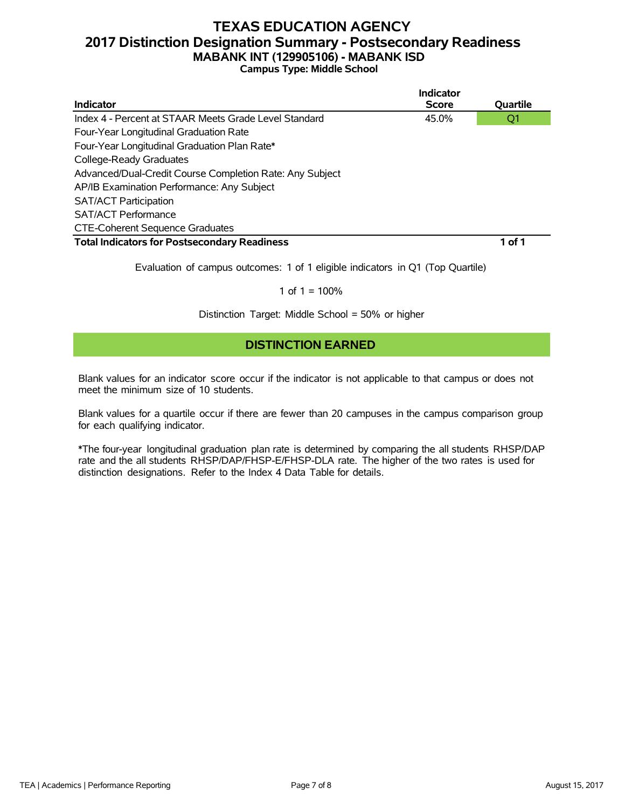# **TEXAS EDUCATION AGENCY 2017 Distinction Designation Summary - Postsecondary Readiness MABANK INT (129905106) - MABANK ISD**

**Campus Type: Middle School**

|                                                          | Indicator    |          |
|----------------------------------------------------------|--------------|----------|
| Indicator                                                | <b>Score</b> | Quartile |
| Index 4 - Percent at STAAR Meets Grade Level Standard    | 45.0%        | Q1       |
| Four-Year Longitudinal Graduation Rate                   |              |          |
| Four-Year Longitudinal Graduation Plan Rate*             |              |          |
| College-Ready Graduates                                  |              |          |
| Advanced/Dual-Credit Course Completion Rate: Any Subject |              |          |
| AP/IB Examination Performance: Any Subject               |              |          |
| <b>SAT/ACT Participation</b>                             |              |          |
| <b>SAT/ACT Performance</b>                               |              |          |
| <b>CTE-Coherent Sequence Graduates</b>                   |              |          |
| <b>Total Indicators for Postsecondary Readiness</b>      |              | 1 of 1   |
|                                                          |              |          |

Evaluation of campus outcomes: 1 of 1 eligible indicators in Q1 (Top Quartile)

#### 1 of  $1 = 100%$

Distinction Target: Middle School = 50% or higher

# **DISTINCTION EARNED**

Blank values for an indicator score occur if the indicator is not applicable to that campus or does not meet the minimum size of 10 students.

Blank values for a quartile occur if there are fewer than 20 campuses in the campus comparison group for each qualifying indicator.

\*The four-year longitudinal graduation plan rate is determined by comparing the all students RHSP/DAP rate and the all students RHSP/DAP/FHSP-E/FHSP-DLA rate. The higher of the two rates is used for distinction designations. Refer to the Index 4 Data Table for details.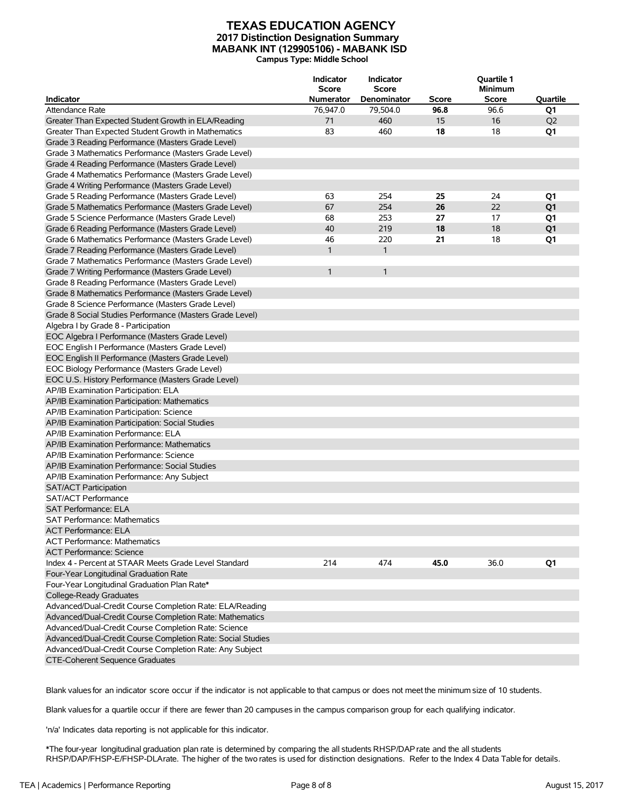#### **TEXAS EDUCATION AGENCY 2017 Distinction Designation Summary MABANK INT (129905106) - MABANK ISD Campus Type: Middle School**

| <b>Indicator</b>                                            | Indicator<br><b>Score</b><br><b>Numerator</b> | Indicator<br><b>Score</b><br>Denominator | <b>Score</b> | Quartile 1<br><b>Minimum</b><br>Score | Quartile       |
|-------------------------------------------------------------|-----------------------------------------------|------------------------------------------|--------------|---------------------------------------|----------------|
| Attendance Rate                                             | 76,947.0                                      | 79,504.0                                 | 96.8         | 96.6                                  | Q1             |
| Greater Than Expected Student Growth in ELA/Reading         | 71                                            | 460                                      | 15           | 16                                    | Q <sub>2</sub> |
| Greater Than Expected Student Growth in Mathematics         | 83                                            | 460                                      | 18           | 18                                    | Q1             |
|                                                             |                                               |                                          |              |                                       |                |
| Grade 3 Reading Performance (Masters Grade Level)           |                                               |                                          |              |                                       |                |
| Grade 3 Mathematics Performance (Masters Grade Level)       |                                               |                                          |              |                                       |                |
| Grade 4 Reading Performance (Masters Grade Level)           |                                               |                                          |              |                                       |                |
| Grade 4 Mathematics Performance (Masters Grade Level)       |                                               |                                          |              |                                       |                |
| Grade 4 Writing Performance (Masters Grade Level)           |                                               |                                          |              |                                       |                |
| Grade 5 Reading Performance (Masters Grade Level)           | 63                                            | 254                                      | 25           | 24                                    | Q1             |
| Grade 5 Mathematics Performance (Masters Grade Level)       | 67                                            | 254                                      | 26           | 22                                    | Q <sub>1</sub> |
| Grade 5 Science Performance (Masters Grade Level)           | 68                                            | 253                                      | 27           | 17                                    | Q1             |
| Grade 6 Reading Performance (Masters Grade Level)           | 40                                            | 219                                      | 18           | 18                                    | Q <sub>1</sub> |
| Grade 6 Mathematics Performance (Masters Grade Level)       | 46                                            | 220                                      | 21           | 18                                    | Q1             |
| Grade 7 Reading Performance (Masters Grade Level)           | $\mathbf{1}$                                  | $\mathbf{1}$                             |              |                                       |                |
| Grade 7 Mathematics Performance (Masters Grade Level)       |                                               |                                          |              |                                       |                |
| Grade 7 Writing Performance (Masters Grade Level)           | $\mathbf{1}$                                  | $\mathbf{1}$                             |              |                                       |                |
| Grade 8 Reading Performance (Masters Grade Level)           |                                               |                                          |              |                                       |                |
| Grade 8 Mathematics Performance (Masters Grade Level)       |                                               |                                          |              |                                       |                |
| Grade 8 Science Performance (Masters Grade Level)           |                                               |                                          |              |                                       |                |
| Grade 8 Social Studies Performance (Masters Grade Level)    |                                               |                                          |              |                                       |                |
| Algebra I by Grade 8 - Participation                        |                                               |                                          |              |                                       |                |
| EOC Algebra I Performance (Masters Grade Level)             |                                               |                                          |              |                                       |                |
| EOC English I Performance (Masters Grade Level)             |                                               |                                          |              |                                       |                |
| EOC English II Performance (Masters Grade Level)            |                                               |                                          |              |                                       |                |
| EOC Biology Performance (Masters Grade Level)               |                                               |                                          |              |                                       |                |
| EOC U.S. History Performance (Masters Grade Level)          |                                               |                                          |              |                                       |                |
| AP/IB Examination Participation: ELA                        |                                               |                                          |              |                                       |                |
| AP/IB Examination Participation: Mathematics                |                                               |                                          |              |                                       |                |
| AP/IB Examination Participation: Science                    |                                               |                                          |              |                                       |                |
| AP/IB Examination Participation: Social Studies             |                                               |                                          |              |                                       |                |
| AP/IB Examination Performance: ELA                          |                                               |                                          |              |                                       |                |
| AP/IB Examination Performance: Mathematics                  |                                               |                                          |              |                                       |                |
| AP/IB Examination Performance: Science                      |                                               |                                          |              |                                       |                |
| AP/IB Examination Performance: Social Studies               |                                               |                                          |              |                                       |                |
| AP/IB Examination Performance: Any Subject                  |                                               |                                          |              |                                       |                |
| <b>SAT/ACT Participation</b>                                |                                               |                                          |              |                                       |                |
| SAT/ACT Performance                                         |                                               |                                          |              |                                       |                |
| <b>SAT Performance: ELA</b>                                 |                                               |                                          |              |                                       |                |
| SAT Performance: Mathematics                                |                                               |                                          |              |                                       |                |
| <b>ACT Performance: ELA</b>                                 |                                               |                                          |              |                                       |                |
| <b>ACT Performance: Mathematics</b>                         |                                               |                                          |              |                                       |                |
| <b>ACT Performance: Science</b>                             |                                               |                                          |              |                                       |                |
| Index 4 - Percent at STAAR Meets Grade Level Standard       | 214                                           | 474                                      | 45.0         | 36.0                                  | Q1             |
| Four-Year Longitudinal Graduation Rate                      |                                               |                                          |              |                                       |                |
|                                                             |                                               |                                          |              |                                       |                |
| Four-Year Longitudinal Graduation Plan Rate*                |                                               |                                          |              |                                       |                |
| College-Ready Graduates                                     |                                               |                                          |              |                                       |                |
| Advanced/Dual-Credit Course Completion Rate: ELA/Reading    |                                               |                                          |              |                                       |                |
| Advanced/Dual-Credit Course Completion Rate: Mathematics    |                                               |                                          |              |                                       |                |
| Advanced/Dual-Credit Course Completion Rate: Science        |                                               |                                          |              |                                       |                |
| Advanced/Dual-Credit Course Completion Rate: Social Studies |                                               |                                          |              |                                       |                |
| Advanced/Dual-Credit Course Completion Rate: Any Subject    |                                               |                                          |              |                                       |                |
| CTE-Coherent Sequence Graduates                             |                                               |                                          |              |                                       |                |

Blank valuesfor an indicator score occur if the indicator is not applicable to that campus or does not meet the minimum size of 10 students.

Blank valuesfor a quartile occur if there are fewer than 20 campuses in the campus comparison group for each qualifying indicator.

'n/a' Indicates data reporting is not applicable for this indicator.

\*The four-year longitudinal graduation plan rate is determined by comparing the all students RHSP/DAPrate and the all students RHSP/DAP/FHSP-E/FHSP-DLArate. The higher of the two rates is used for distinction designations. Refer to the Index 4 Data Table for details.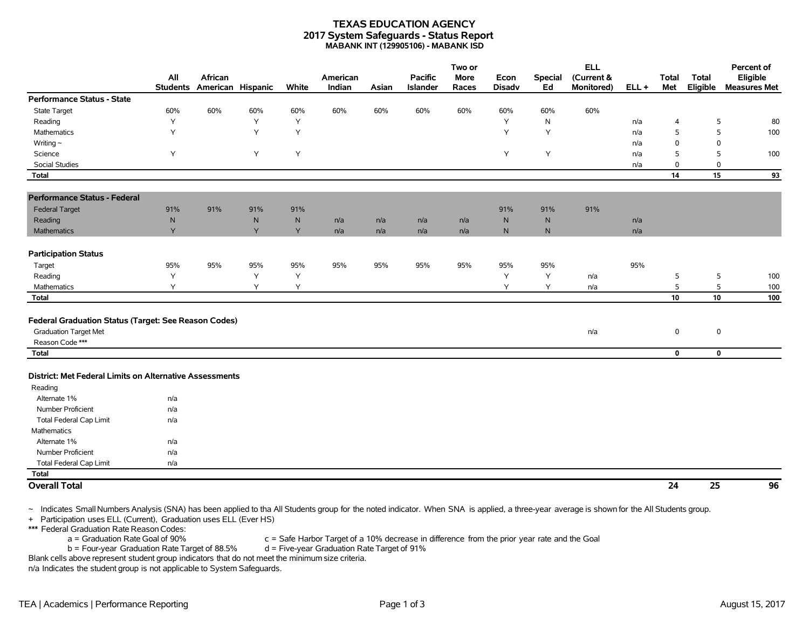#### **TEXAS EDUCATION AGENCY 2017 System Safeguards - Status Report MABANK INT (129905106) - MABANK ISD**

|                                                         |                        |                              |              |       |                    |       |                            | Two or               |                       |                      | <b>ELL</b>               |         |                     |                          | Percent of                      |
|---------------------------------------------------------|------------------------|------------------------------|--------------|-------|--------------------|-------|----------------------------|----------------------|-----------------------|----------------------|--------------------------|---------|---------------------|--------------------------|---------------------------------|
|                                                         | All<br><b>Students</b> | African<br>American Hispanic |              | White | American<br>Indian | Asian | <b>Pacific</b><br>Islander | <b>More</b><br>Races | Econ<br><b>Disadv</b> | <b>Special</b><br>Ed | (Current &<br>Monitored) | $ELL +$ | <b>Total</b><br>Met | <b>Total</b><br>Eligible | Eligible<br><b>Measures Met</b> |
| <b>Performance Status - State</b>                       |                        |                              |              |       |                    |       |                            |                      |                       |                      |                          |         |                     |                          |                                 |
| <b>State Target</b>                                     | 60%                    | 60%                          | 60%          | 60%   | 60%                | 60%   | 60%                        | 60%                  | 60%                   | 60%                  | 60%                      |         |                     |                          |                                 |
| Reading                                                 | Y                      |                              | Y            | Y     |                    |       |                            |                      | Υ                     | ${\sf N}$            |                          | n/a     | $\overline{4}$      | 5                        | 80                              |
| <b>Mathematics</b>                                      | Y                      |                              | $\mathsf{Y}$ | Y     |                    |       |                            |                      | Y                     | Y                    |                          | n/a     | 5                   | 5                        | 100                             |
| Writing $\sim$                                          |                        |                              |              |       |                    |       |                            |                      |                       |                      |                          | n/a     | $\mathbf 0$         | $\mathbf 0$              |                                 |
| Science                                                 | Y                      |                              | Y            | Υ     |                    |       |                            |                      | Υ                     | Υ                    |                          | n/a     | 5                   | 5                        | 100                             |
| <b>Social Studies</b>                                   |                        |                              |              |       |                    |       |                            |                      |                       |                      |                          | n/a     | $\mathbf 0$         | 0                        |                                 |
| Total                                                   |                        |                              |              |       |                    |       |                            |                      |                       |                      |                          |         | 14                  | 15                       | 93                              |
| <b>Performance Status - Federal</b>                     |                        |                              |              |       |                    |       |                            |                      |                       |                      |                          |         |                     |                          |                                 |
| <b>Federal Target</b>                                   | 91%                    | 91%                          | 91%          | 91%   |                    |       |                            |                      | 91%                   | 91%                  | 91%                      |         |                     |                          |                                 |
| Reading                                                 | N                      |                              | N            | N     | n/a                | n/a   | n/a                        | n/a                  | $\mathsf{N}$          | $\mathsf{N}$         |                          | n/a     |                     |                          |                                 |
| Mathematics                                             | Y                      |                              | Y            | Y     | n/a                | n/a   | n/a                        | n/a                  | $\mathsf{N}$          | $\mathsf{N}$         |                          | n/a     |                     |                          |                                 |
| <b>Participation Status</b>                             |                        |                              |              |       |                    |       |                            |                      |                       |                      |                          |         |                     |                          |                                 |
| Target                                                  | 95%                    | 95%                          | 95%          | 95%   | 95%                | 95%   | 95%                        | 95%                  | 95%                   | 95%                  |                          | 95%     |                     |                          |                                 |
| Reading                                                 | Y                      |                              | Y            | Y     |                    |       |                            |                      | Υ                     | Υ                    | n/a                      |         | 5                   | 5                        | 100                             |
| Mathematics                                             | Y                      |                              | Y            | Y     |                    |       |                            |                      | Y                     | Y                    | n/a                      |         | 5                   | 5                        | 100                             |
| Total                                                   |                        |                              |              |       |                    |       |                            |                      |                       |                      |                          |         | 10                  | 10                       | 100                             |
|                                                         |                        |                              |              |       |                    |       |                            |                      |                       |                      |                          |         |                     |                          |                                 |
| Federal Graduation Status (Target: See Reason Codes)    |                        |                              |              |       |                    |       |                            |                      |                       |                      |                          |         |                     |                          |                                 |
| <b>Graduation Target Met</b>                            |                        |                              |              |       |                    |       |                            |                      |                       |                      | n/a                      |         | $\mathbf 0$         | $\mathbf 0$              |                                 |
| Reason Code ***                                         |                        |                              |              |       |                    |       |                            |                      |                       |                      |                          |         |                     |                          |                                 |
| <b>Total</b>                                            |                        |                              |              |       |                    |       |                            |                      |                       |                      |                          |         | $\mathbf 0$         | $\mathbf 0$              |                                 |
| District: Met Federal Limits on Alternative Assessments |                        |                              |              |       |                    |       |                            |                      |                       |                      |                          |         |                     |                          |                                 |
| Reading                                                 |                        |                              |              |       |                    |       |                            |                      |                       |                      |                          |         |                     |                          |                                 |
| Alternate 1%                                            | n/a                    |                              |              |       |                    |       |                            |                      |                       |                      |                          |         |                     |                          |                                 |
| Number Proficient                                       | n/a                    |                              |              |       |                    |       |                            |                      |                       |                      |                          |         |                     |                          |                                 |
| <b>Total Federal Cap Limit</b>                          | n/a                    |                              |              |       |                    |       |                            |                      |                       |                      |                          |         |                     |                          |                                 |
| Mathematics                                             |                        |                              |              |       |                    |       |                            |                      |                       |                      |                          |         |                     |                          |                                 |
| Alternate 1%                                            | n/a                    |                              |              |       |                    |       |                            |                      |                       |                      |                          |         |                     |                          |                                 |
| Number Proficient                                       | n/a                    |                              |              |       |                    |       |                            |                      |                       |                      |                          |         |                     |                          |                                 |
| Total Federal Cap Limit                                 | n/a                    |                              |              |       |                    |       |                            |                      |                       |                      |                          |         |                     |                          |                                 |
| <b>Total</b>                                            |                        |                              |              |       |                    |       |                            |                      |                       |                      |                          |         |                     |                          |                                 |
| <b>Overall Total</b>                                    |                        |                              |              |       |                    |       |                            |                      |                       |                      |                          |         | 24                  | 25                       | 96                              |

~ Indicates Small Numbers Analysis (SNA) has been applied to tha All Students group for the noted indicator. When SNA is applied, a three-year average is shown for the All Students group.

+ Participation uses ELL (Current), Graduation uses ELL (Ever HS)

\*\*\* Federal Graduation Rate Reason Codes:

a = Graduation Rate Goal of 90% c = Safe Harbor Target of a 10% decrease in difference from the prior year rate and the Goal

b = Four-year Graduation Rate Target of 88.5% d = Five-year Graduation Rate Target of 91%

Blank cells above represent student group indicators that do not meet the minimum size criteria.

n/a Indicates the student group is not applicable to System Safeguards.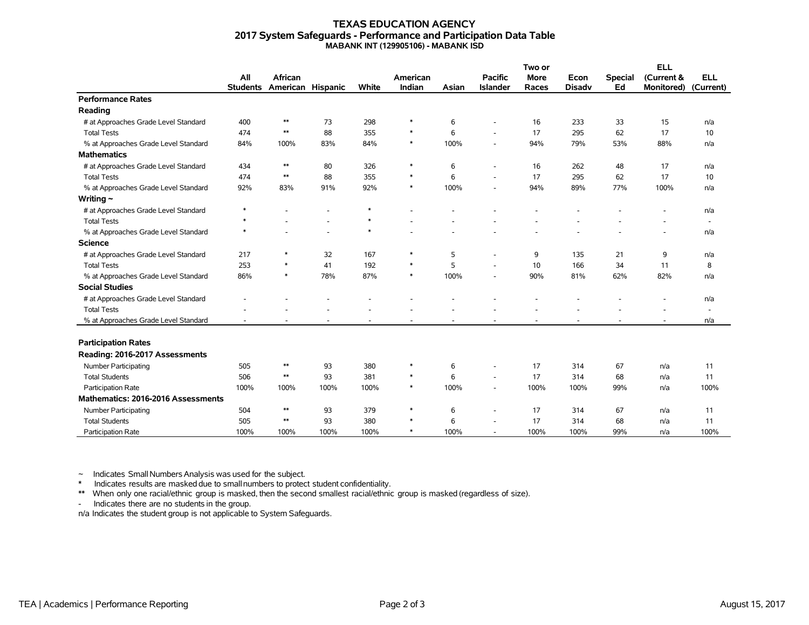#### **TEXAS EDUCATION AGENCY 2017 System Safeguards - Performance and Participation Data Table MABANK INT (129905106) - MABANK ISD**

|                                      |                 |                   |                          |        |          |       |                          | Two or      |               |                | <b>ELL</b>        |                          |
|--------------------------------------|-----------------|-------------------|--------------------------|--------|----------|-------|--------------------------|-------------|---------------|----------------|-------------------|--------------------------|
|                                      | All             | African           |                          |        | American |       | <b>Pacific</b>           | <b>More</b> | Econ          | <b>Special</b> | (Current &        | <b>ELL</b>               |
|                                      | <b>Students</b> | American Hispanic |                          | White  | Indian   | Asian | <b>Islander</b>          | Races       | <b>Disadv</b> | Ed             | <b>Monitored)</b> | (Current)                |
| <b>Performance Rates</b>             |                 |                   |                          |        |          |       |                          |             |               |                |                   |                          |
| Reading                              |                 |                   |                          |        |          |       |                          |             |               |                |                   |                          |
| # at Approaches Grade Level Standard | 400             | $**$              | 73                       | 298    | $\ast$   | 6     |                          | 16          | 233           | 33             | 15                | n/a                      |
| <b>Total Tests</b>                   | 474             | $**$              | 88                       | 355    | $\ast$   | 6     |                          | 17          | 295           | 62             | 17                | 10                       |
| % at Approaches Grade Level Standard | 84%             | 100%              | 83%                      | 84%    | $\ast$   | 100%  |                          | 94%         | 79%           | 53%            | 88%               | n/a                      |
| <b>Mathematics</b>                   |                 |                   |                          |        |          |       |                          |             |               |                |                   |                          |
| # at Approaches Grade Level Standard | 434             | $**$              | 80                       | 326    | $\ast$   | 6     | $\overline{\phantom{a}}$ | 16          | 262           | 48             | 17                | n/a                      |
| <b>Total Tests</b>                   | 474             | $\ast\ast$        | 88                       | 355    | $\ast$   | 6     | ÷.                       | 17          | 295           | 62             | 17                | 10                       |
| % at Approaches Grade Level Standard | 92%             | 83%               | 91%                      | 92%    | $\ast$   | 100%  |                          | 94%         | 89%           | 77%            | 100%              | n/a                      |
| Writing $\sim$                       |                 |                   |                          |        |          |       |                          |             |               |                |                   |                          |
| # at Approaches Grade Level Standard | $\ast$          |                   |                          | $\ast$ |          |       |                          |             |               |                |                   | n/a                      |
| <b>Total Tests</b>                   | $\ast$          |                   |                          | $\ast$ |          |       |                          |             |               |                |                   | $\overline{\phantom{a}}$ |
| % at Approaches Grade Level Standard | $\ast$          |                   | $\overline{\phantom{a}}$ | $\ast$ |          |       |                          |             |               |                |                   | n/a                      |
| <b>Science</b>                       |                 |                   |                          |        |          |       |                          |             |               |                |                   |                          |
| # at Approaches Grade Level Standard | 217             | *                 | 32                       | 167    | *        | 5     | ٠                        | 9           | 135           | 21             | 9                 | n/a                      |
| <b>Total Tests</b>                   | 253             | $\ast$            | 41                       | 192    | $\ast$   | 5     |                          | 10          | 166           | 34             | 11                | 8                        |
| % at Approaches Grade Level Standard | 86%             | $\ast$            | 78%                      | 87%    | $\ast$   | 100%  |                          | 90%         | 81%           | 62%            | 82%               | n/a                      |
| <b>Social Studies</b>                |                 |                   |                          |        |          |       |                          |             |               |                |                   |                          |
| # at Approaches Grade Level Standard |                 |                   |                          |        |          |       |                          |             |               |                |                   | n/a                      |
| <b>Total Tests</b>                   |                 |                   |                          |        |          |       |                          |             |               |                |                   | $\sim$                   |
| % at Approaches Grade Level Standard |                 |                   |                          |        |          |       |                          |             |               |                |                   | n/a                      |
|                                      |                 |                   |                          |        |          |       |                          |             |               |                |                   |                          |
| <b>Participation Rates</b>           |                 |                   |                          |        |          |       |                          |             |               |                |                   |                          |
| Reading: 2016-2017 Assessments       |                 |                   |                          |        |          |       |                          |             |               |                |                   |                          |
| <b>Number Participating</b>          | 505             | $\ast\ast$        | 93                       | 380    | $\ast$   | 6     | $\overline{\phantom{a}}$ | 17          | 314           | 67             | n/a               | 11                       |
| <b>Total Students</b>                | 506             | $\ast\ast$        | 93                       | 381    | $\ast$   | 6     |                          | 17          | 314           | 68             | n/a               | 11                       |
| Participation Rate                   | 100%            | 100%              | 100%                     | 100%   | $\ast$   | 100%  | $\overline{\phantom{a}}$ | 100%        | 100%          | 99%            | n/a               | 100%                     |
| Mathematics: 2016-2016 Assessments   |                 |                   |                          |        |          |       |                          |             |               |                |                   |                          |
| Number Participating                 | 504             | $**$              | 93                       | 379    | $\ast$   | 6     |                          | 17          | 314           | 67             | n/a               | 11                       |
| <b>Total Students</b>                | 505             | $\ast\ast$        | 93                       | 380    | $\ast$   | 6     | ٠                        | 17          | 314           | 68             | n/a               | 11                       |
| <b>Participation Rate</b>            | 100%            | 100%              | 100%                     | 100%   | $\ast$   | 100%  |                          | 100%        | 100%          | 99%            | n/a               | 100%                     |

 $\sim$  Indicates Small Numbers Analysis was used for the subject.

\* Indicates results are masked due to smallnumbers to protect student confidentiality.

\*\* When only one racial/ethnic group is masked, then the second smallest racial/ethnic group is masked (regardless of size).

- Indicates there are no students in the group.

n/a Indicates the student group is not applicable to System Safeguards.